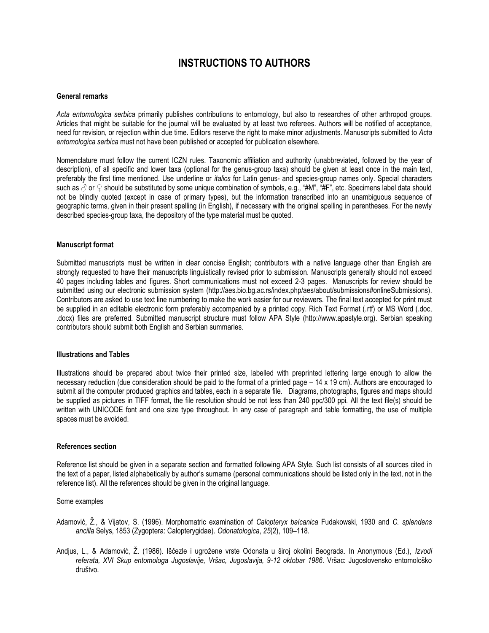# **INSTRUCTIONS TO AUTHORS**

## **General remarks**

*Acta entomologica serbica* primarily publishes contributions to entomology, but also to researches of other arthropod groups. Articles that might be suitable for the journal will be evaluated by at least two referees. Authors will be notified of acceptance, need for revision, or rejection within due time. Editors reserve the right to make minor adjustments. Manuscripts submitted to *Acta entomologica serbica* must not have been published or accepted for publication elsewhere.

Nomenclature must follow the current ICZN rules. Taxonomic affiliation and authority (unabbreviated, followed by the year of description), of all specific and lower taxa (optional for the genus-group taxa) should be given at least once in the main text, preferably the first time mentioned. Use underline or *italics* for Latin genus- and species-group names only. Special characters such as  $\beta$  or  $\Omega$  should be substituted by some unique combination of symbols, e.g., "#M", "#F", etc. Specimens label data should not be blindly quoted (except in case of primary types), but the information transcribed into an unambiguous sequence of geographic terms, given in their present spelling (in English), if necessary with the original spelling in parentheses. For the newly described species-group taxa, the depository of the type material must be quoted.

### **Manuscript format**

Submitted manuscripts must be written in clear concise English; contributors with a native language other than English are strongly requested to have their manuscripts linguistically revised prior to submission. Manuscripts generally should not exceed 40 pages including tables and figures. Short communications must not exceed 2-3 pages. Manuscripts for review should be submitted using our electronic submission system (http://aes.bio.bg.ac.rs/index.php/aes/about/submissions#onlineSubmissions). Contributors are asked to use text line numbering to make the work easier for our reviewers. The final text accepted for print must be supplied in an editable electronic form preferably accompanied by a printed copy. Rich Text Format (.rtf) or MS Word (.doc, .docx) files are preferred. Submitted manuscript structure must follow APA Style (http://www.apastyle.org). Serbian speaking contributors should submit both English and Serbian summaries.

#### **Illustrations and Tables**

Illustrations should be prepared about twice their printed size, labelled with preprinted lettering large enough to allow the necessary reduction (due consideration should be paid to the format of a printed page – 14 x 19 cm). Authors are encouraged to submit all the computer produced graphics and tables, each in a separate file. Diagrams, photographs, figures and maps should be supplied as pictures in TIFF format, the file resolution should be not less than 240 ppc/300 ppi. All the text file(s) should be written with UNICODE font and one size type throughout. In any case of paragraph and table formatting, the use of multiple spaces must be avoided.

## **References section**

Reference list should be given in a separate section and formatted following APA Style. Such list consists of all sources cited in the text of a paper, listed alphabetically by author's surname (personal communications should be listed only in the text, not in the reference list). All the references should be given in the original language.

## Some examples

- Adamović, Ž., & Vijatov, S. (1996). Morphomatric examination of *Calopteryx balcanica* Fudakowski, 1930 and *C. splendens ancilla* Selys, 1853 (Zygoptera: Calopterygidae). *Odonatologica*, *25*(2), 109–118.
- Andjus, L., & Adamović, Ž. (1986). Iščezle i ugrožene vrste Odonata u široj okolini Beograda. In Anonymous (Ed.), *Izvodi referata, XVI Skup entomologa Jugoslavije, Vršac, Jugoslavija, 9-12 oktobar 1986*. Vršac: Jugoslovensko entomološko društvo.